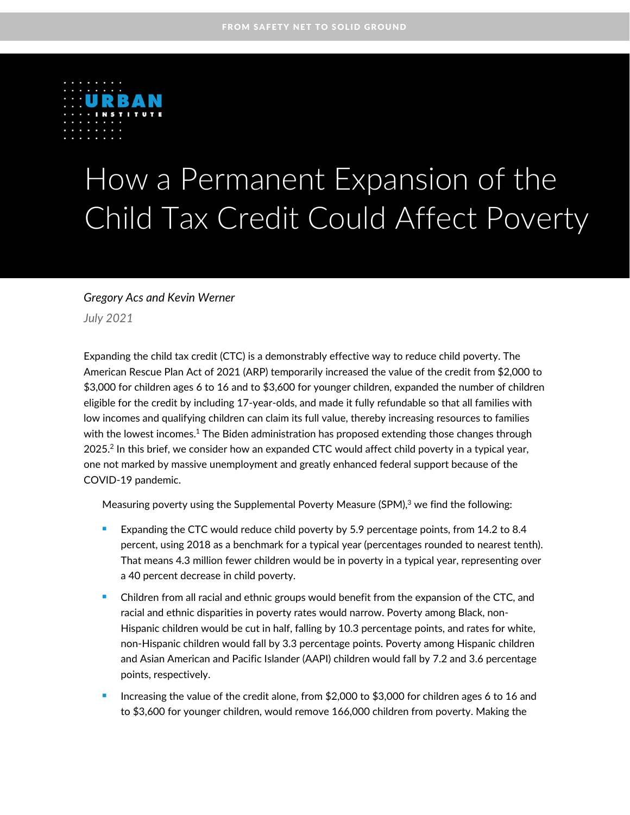

# How a Permanent Expansion of the Child Tax Credit Could Affect Poverty

### *Gregory Acs and Kevin Werner*

*July 2021*

Expanding the child tax credit (CTC) is a demonstrably effective way to reduce child poverty. The American Rescue Plan Act of 2021 (ARP) temporarily increased the value of the credit from \$2,000 to \$3,000 for children ages 6 to 16 and to \$3,600 for younger children, expanded the number of children eligible for the credit by including 17-year-olds, and made it fully refundable so that all families with low incomes and qualifying children can claim its full value, thereby increasing resources to families with the lowest incomes.<sup>1</sup> The Biden administration has proposed extending those changes through 2025.<sup>2</sup> In this brief, we consider how an expanded CTC would affect child poverty in a typical year, one not marked by massive unemployment and greatly enhanced federal support because of the COVID-19 pandemic.

Measuring poverty using the Supplemental Poverty Measure (SPM), $3$  we find the following:

- Expanding the CTC would reduce child poverty by 5.9 percentage points, from 14.2 to 8.4 percent, using 2018 as a benchmark for a typical year (percentages rounded to nearest tenth). That means 4.3 million fewer children would be in poverty in a typical year, representing over a 40 percent decrease in child poverty.
- Children from all racial and ethnic groups would benefit from the expansion of the CTC, and racial and ethnic disparities in poverty rates would narrow. Poverty among Black, non-Hispanic children would be cut in half, falling by 10.3 percentage points, and rates for white, non-Hispanic children would fall by 3.3 percentage points. Poverty among Hispanic children and Asian American and Pacific Islander (AAPI) children would fall by 7.2 and 3.6 percentage points, respectively.
- Increasing the value of the credit alone, from \$2,000 to \$3,000 for children ages 6 to 16 and to \$3,600 for younger children, would remove 166,000 children from poverty. Making the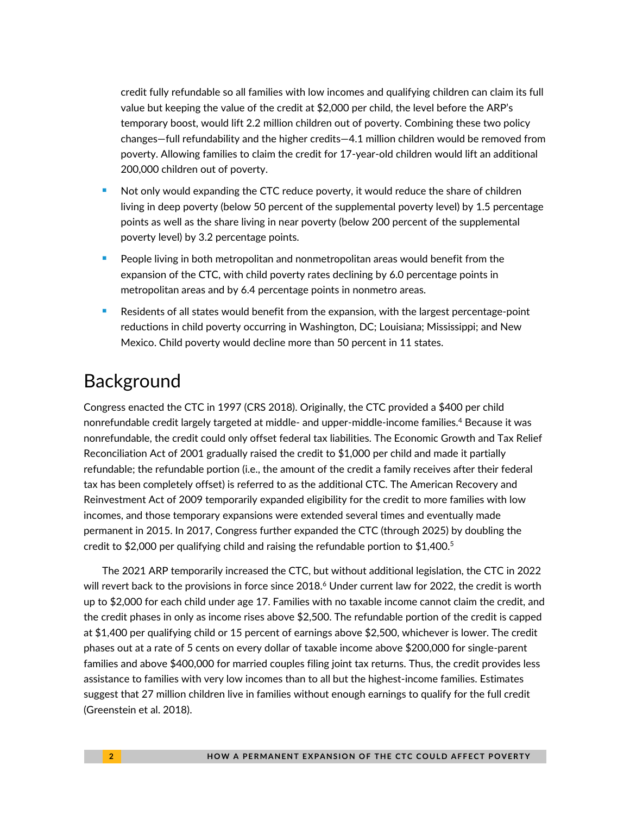credit fully refundable so all families with low incomes and qualifying children can claim its full value but keeping the value of the credit at \$2,000 per child, the level before the ARP's temporary boost, would lift 2.2 million children out of poverty. Combining these two policy changes—full refundability and the higher credits—4.1 million children would be removed from poverty. Allowing families to claim the credit for 17-year-old children would lift an additional 200,000 children out of poverty.

- Not only would expanding the CTC reduce poverty, it would reduce the share of children living in deep poverty (below 50 percent of the supplemental poverty level) by 1.5 percentage points as well as the share living in near poverty (below 200 percent of the supplemental poverty level) by 3.2 percentage points.
- People living in both metropolitan and nonmetropolitan areas would benefit from the expansion of the CTC, with child poverty rates declining by 6.0 percentage points in metropolitan areas and by 6.4 percentage points in nonmetro areas.
- Residents of all states would benefit from the expansion, with the largest percentage-point reductions in child poverty occurring in Washington, DC; Louisiana; Mississippi; and New Mexico. Child poverty would decline more than 50 percent in 11 states.

# Background

Congress enacted the CTC in 1997 (CRS 2018). Originally, the CTC provided a \$400 per child nonrefundable credit largely targeted at middle- and upper-middle-income families. <sup>4</sup> Because it was nonrefundable, the credit could only offset federal tax liabilities. The Economic Growth and Tax Relief Reconciliation Act of 2001 gradually raised the credit to \$1,000 per child and made it partially refundable; the refundable portion (i.e., the amount of the credit a family receives after their federal tax has been completely offset) is referred to as the additional CTC. The American Recovery and Reinvestment Act of 2009 temporarily expanded eligibility for the credit to more families with low incomes, and those temporary expansions were extended several times and eventually made permanent in 2015. In 2017, Congress further expanded the CTC (through 2025) by doubling the credit to \$2,000 per qualifying child and raising the refundable portion to  $$1,400<sup>5</sup>$ 

The 2021 ARP temporarily increased the CTC, but without additional legislation, the CTC in 2022 will revert back to the provisions in force since 2018.<sup>6</sup> Under current law for 2022, the credit is worth up to \$2,000 for each child under age 17. Families with no taxable income cannot claim the credit, and the credit phases in only as income rises above \$2,500. The refundable portion of the credit is capped at \$1,400 per qualifying child or 15 percent of earnings above \$2,500, whichever is lower. The credit phases out at a rate of 5 cents on every dollar of taxable income above \$200,000 for single-parent families and above \$400,000 for married couples filing joint tax returns. Thus, the credit provides less assistance to families with very low incomes than to all but the highest-income families. Estimates suggest that 27 million children live in families without enough earnings to qualify for the full credit (Greenstein et al. 2018).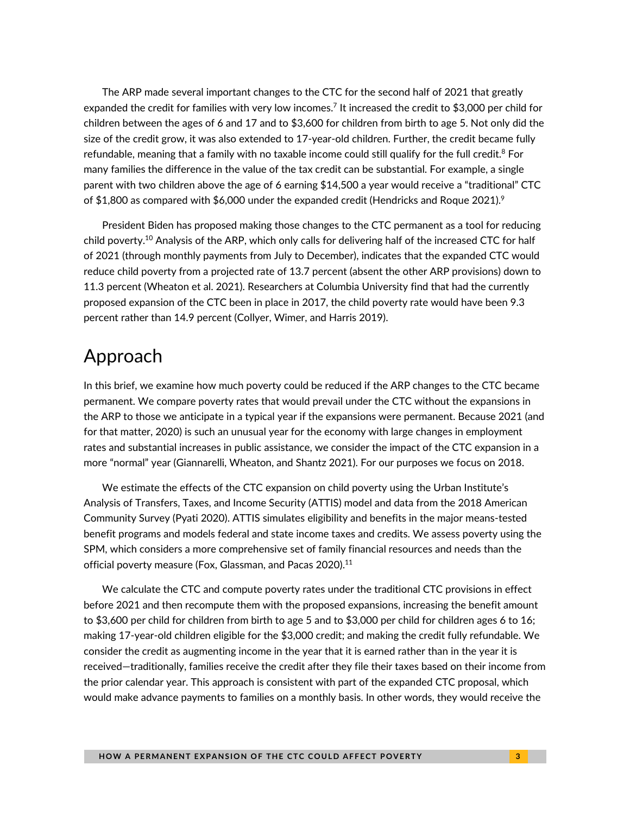The ARP made several important changes to the CTC for the second half of 2021 that greatly expanded the credit for families with very low incomes. 7 It increased the credit to \$3,000 per child for children between the ages of 6 and 17 and to \$3,600 for children from birth to age 5. Not only did the size of the credit grow, it was also extended to 17-year-old children. Further, the credit became fully refundable, meaning that a family with no taxable income could still qualify for the full credit.<sup>8</sup> For many families the difference in the value of the tax credit can be substantial. For example, a single parent with two children above the age of 6 earning \$14,500 a year would receive a "traditional" CTC of \$1,800 as compared with \$6,000 under the expanded credit (Hendricks and Roque 2021).<sup>9</sup>

President Biden has proposed making those changes to the CTC permanent as a tool for reducing child poverty.<sup>10</sup> Analysis of the ARP, which only calls for delivering half of the increased CTC for half of 2021 (through monthly payments from July to December), indicates that the expanded CTC would reduce child poverty from a projected rate of 13.7 percent (absent the other ARP provisions) down to 11.3 percent (Wheaton et al. 2021). Researchers at Columbia University find that had the currently proposed expansion of the CTC been in place in 2017, the child poverty rate would have been 9.3 percent rather than 14.9 percent (Collyer, Wimer, and Harris 2019).

# Approach

In this brief, we examine how much poverty could be reduced if the ARP changes to the CTC became permanent. We compare poverty rates that would prevail under the CTC without the expansions in the ARP to those we anticipate in a typical year if the expansions were permanent. Because 2021 (and for that matter, 2020) is such an unusual year for the economy with large changes in employment rates and substantial increases in public assistance, we consider the impact of the CTC expansion in a more "normal" year (Giannarelli, Wheaton, and Shantz 2021). For our purposes we focus on 2018.

We estimate the effects of the CTC expansion on child poverty using the Urban Institute's Analysis of Transfers, Taxes, and Income Security (ATTIS) model and data from the 2018 American Community Survey (Pyati 2020). ATTIS simulates eligibility and benefits in the major means-tested benefit programs and models federal and state income taxes and credits. We assess poverty using the SPM, which considers a more comprehensive set of family financial resources and needs than the official poverty measure (Fox, Glassman, and Pacas 2020).<sup>11</sup>

We calculate the CTC and compute poverty rates under the traditional CTC provisions in effect before 2021 and then recompute them with the proposed expansions, increasing the benefit amount to \$3,600 per child for children from birth to age 5 and to \$3,000 per child for children ages 6 to 16; making 17-year-old children eligible for the \$3,000 credit; and making the credit fully refundable. We consider the credit as augmenting income in the year that it is earned rather than in the year it is received—traditionally, families receive the credit after they file their taxes based on their income from the prior calendar year. This approach is consistent with part of the expanded CTC proposal, which would make advance payments to families on a monthly basis. In other words, they would receive the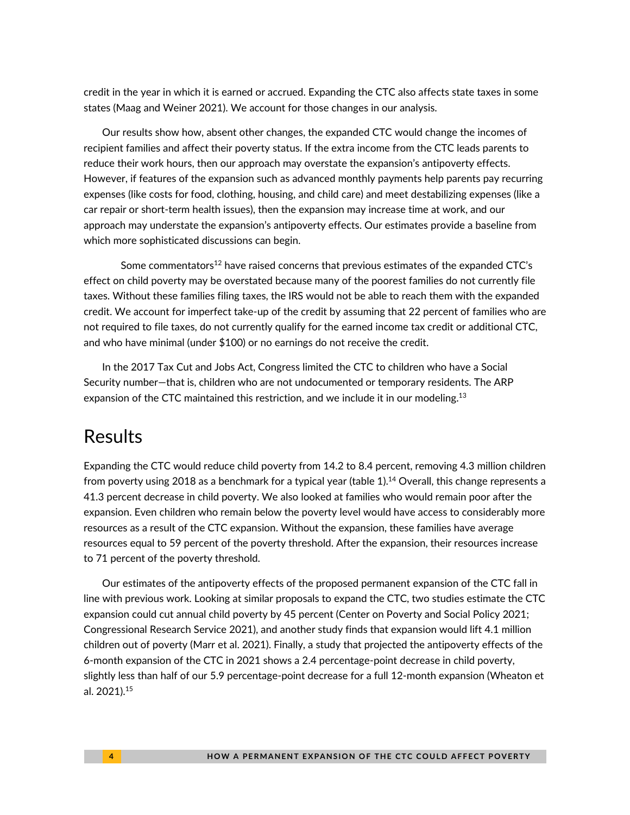credit in the year in which it is earned or accrued. Expanding the CTC also affects state taxes in some states (Maag and Weiner 2021). We account for those changes in our analysis.

Our results show how, absent other changes, the expanded CTC would change the incomes of recipient families and affect their poverty status. If the extra income from the CTC leads parents to reduce their work hours, then our approach may overstate the expansion's antipoverty effects. However, if features of the expansion such as advanced monthly payments help parents pay recurring expenses (like costs for food, clothing, housing, and child care) and meet destabilizing expenses (like a car repair or short-term health issues), then the expansion may increase time at work, and our approach may understate the expansion's antipoverty effects. Our estimates provide a baseline from which more sophisticated discussions can begin.

Some commentators<sup>12</sup> have raised concerns that previous estimates of the expanded CTC's effect on child poverty may be overstated because many of the poorest families do not currently file taxes. Without these families filing taxes, the IRS would not be able to reach them with the expanded credit. We account for imperfect take-up of the credit by assuming that 22 percent of families who are not required to file taxes, do not currently qualify for the earned income tax credit or additional CTC, and who have minimal (under \$100) or no earnings do not receive the credit.

In the 2017 Tax Cut and Jobs Act, Congress limited the CTC to children who have a Social Security number—that is, children who are not undocumented or temporary residents. The ARP expansion of the CTC maintained this restriction, and we include it in our modeling.<sup>13</sup>

# Results

Expanding the CTC would reduce child poverty from 14.2 to 8.4 percent, removing 4.3 million children from poverty using 2018 as a benchmark for a typical year (table 1).<sup>14</sup> Overall, this change represents a 41.3 percent decrease in child poverty. We also looked at families who would remain poor after the expansion. Even children who remain below the poverty level would have access to considerably more resources as a result of the CTC expansion. Without the expansion, these families have average resources equal to 59 percent of the poverty threshold. After the expansion, their resources increase to 71 percent of the poverty threshold.

Our estimates of the antipoverty effects of the proposed permanent expansion of the CTC fall in line with previous work. Looking at similar proposals to expand the CTC, two studies estimate the CTC expansion could cut annual child poverty by 45 percent (Center on Poverty and Social Policy 2021; Congressional Research Service 2021), and another study finds that expansion would lift 4.1 million children out of poverty (Marr et al. 2021). Finally, a study that projected the antipoverty effects of the 6-month expansion of the CTC in 2021 shows a 2.4 percentage-point decrease in child poverty, slightly less than half of our 5.9 percentage-point decrease for a full 12-month expansion (Wheaton et al. 2021).15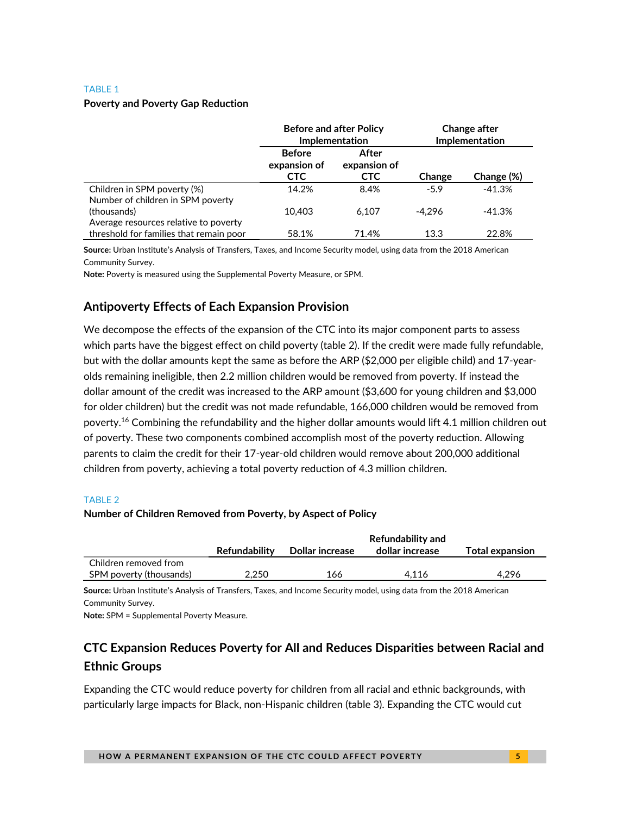#### TABLE 1

### **Poverty and Poverty Gap Reduction**

|                                                                  | <b>Before and after Policy</b>              | Implementation                      | Change after<br><b>Implementation</b> |            |  |
|------------------------------------------------------------------|---------------------------------------------|-------------------------------------|---------------------------------------|------------|--|
|                                                                  | <b>Before</b><br>expansion of<br><b>CTC</b> | After<br>expansion of<br><b>CTC</b> | Change                                | Change (%) |  |
| Children in SPM poverty (%)<br>Number of children in SPM poverty | 14.2%                                       | 8.4%                                | $-5.9$                                | $-41.3%$   |  |
| (thousands)<br>Average resources relative to poverty             | 10.403                                      | 6.107                               | -4.296                                | $-41.3%$   |  |
| threshold for families that remain poor                          | 58.1%                                       | 71.4%                               | 13.3                                  | 22.8%      |  |

**Source:** Urban Institute's Analysis of Transfers, Taxes, and Income Security model, using data from the 2018 American Community Survey.

**Note:** Poverty is measured using the Supplemental Poverty Measure, or SPM.

# **Antipoverty Effects of Each Expansion Provision**

We decompose the effects of the expansion of the CTC into its major component parts to assess which parts have the biggest effect on child poverty (table 2). If the credit were made fully refundable, but with the dollar amounts kept the same as before the ARP (\$2,000 per eligible child) and 17-yearolds remaining ineligible, then 2.2 million children would be removed from poverty. If instead the dollar amount of the credit was increased to the ARP amount (\$3,600 for young children and \$3,000 for older children) but the credit was not made refundable, 166,000 children would be removed from poverty.<sup>16</sup> Combining the refundability and the higher dollar amounts would lift 4.1 million children out of poverty. These two components combined accomplish most of the poverty reduction. Allowing parents to claim the credit for their 17-year-old children would remove about 200,000 additional children from poverty, achieving a total poverty reduction of 4.3 million children.

#### TABLE 2

### **Number of Children Removed from Poverty, by Aspect of Policy**

|                         |               |                 | Refundability and |                        |
|-------------------------|---------------|-----------------|-------------------|------------------------|
|                         | Refundability | Dollar increase | dollar increase   | <b>Total expansion</b> |
| Children removed from   |               |                 |                   |                        |
| SPM poverty (thousands) | 2.250         | 166             | 4.116             | 4.296                  |

**Source:** Urban Institute's Analysis of Transfers, Taxes, and Income Security model, using data from the 2018 American Community Survey.

**Note:** SPM = Supplemental Poverty Measure.

# **CTC Expansion Reduces Poverty for All and Reduces Disparities between Racial and Ethnic Groups**

Expanding the CTC would reduce poverty for children from all racial and ethnic backgrounds, with particularly large impacts for Black, non-Hispanic children (table 3). Expanding the CTC would cut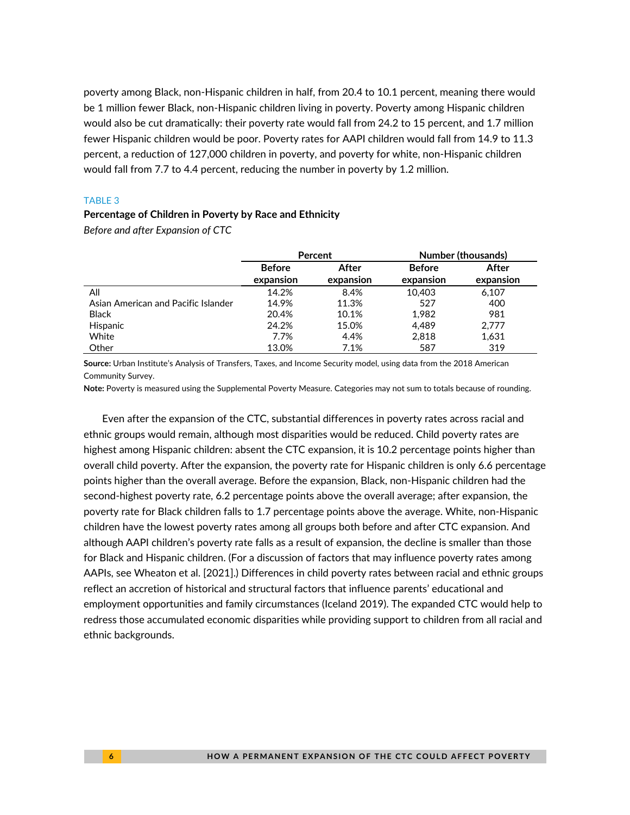poverty among Black, non-Hispanic children in half, from 20.4 to 10.1 percent, meaning there would be 1 million fewer Black, non-Hispanic children living in poverty. Poverty among Hispanic children would also be cut dramatically: their poverty rate would fall from 24.2 to 15 percent, and 1.7 million fewer Hispanic children would be poor. Poverty rates for AAPI children would fall from 14.9 to 11.3 percent, a reduction of 127,000 children in poverty, and poverty for white, non-Hispanic children would fall from 7.7 to 4.4 percent, reducing the number in poverty by 1.2 million.

### TABLE 3

#### **Percentage of Children in Poverty by Race and Ethnicity**

*Before and after Expansion of CTC*

|                                     |                            | Percent            | Number (thousands)         |                    |  |  |
|-------------------------------------|----------------------------|--------------------|----------------------------|--------------------|--|--|
|                                     | <b>Before</b><br>expansion | After<br>expansion | <b>Before</b><br>expansion | After<br>expansion |  |  |
| All                                 | 14.2%                      | 8.4%               | 10.403                     | 6,107              |  |  |
| Asian American and Pacific Islander | 14.9%                      | 11.3%              | 527                        | 400                |  |  |
| <b>Black</b>                        | 20.4%                      | 10.1%              | 1,982                      | 981                |  |  |
| Hispanic                            | 24.2%                      | 15.0%              | 4,489                      | 2,777              |  |  |
| White                               | 7.7%                       | 4.4%               | 2,818                      | 1,631              |  |  |
| Other                               | 13.0%                      | 7.1%               | 587                        | 319                |  |  |

**Source:** Urban Institute's Analysis of Transfers, Taxes, and Income Security model, using data from the 2018 American Community Survey.

**Note:** Poverty is measured using the Supplemental Poverty Measure. Categories may not sum to totals because of rounding.

Even after the expansion of the CTC, substantial differences in poverty rates across racial and ethnic groups would remain, although most disparities would be reduced. Child poverty rates are highest among Hispanic children: absent the CTC expansion, it is 10.2 percentage points higher than overall child poverty. After the expansion, the poverty rate for Hispanic children is only 6.6 percentage points higher than the overall average. Before the expansion, Black, non-Hispanic children had the second-highest poverty rate, 6.2 percentage points above the overall average; after expansion, the poverty rate for Black children falls to 1.7 percentage points above the average. White, non-Hispanic children have the lowest poverty rates among all groups both before and after CTC expansion. And although AAPI children's poverty rate falls as a result of expansion, the decline is smaller than those for Black and Hispanic children. (For a discussion of factors that may influence poverty rates among AAPIs, see Wheaton et al. [2021].) Differences in child poverty rates between racial and ethnic groups reflect an accretion of historical and structural factors that influence parents' educational and employment opportunities and family circumstances (Iceland 2019). The expanded CTC would help to redress those accumulated economic disparities while providing support to children from all racial and ethnic backgrounds.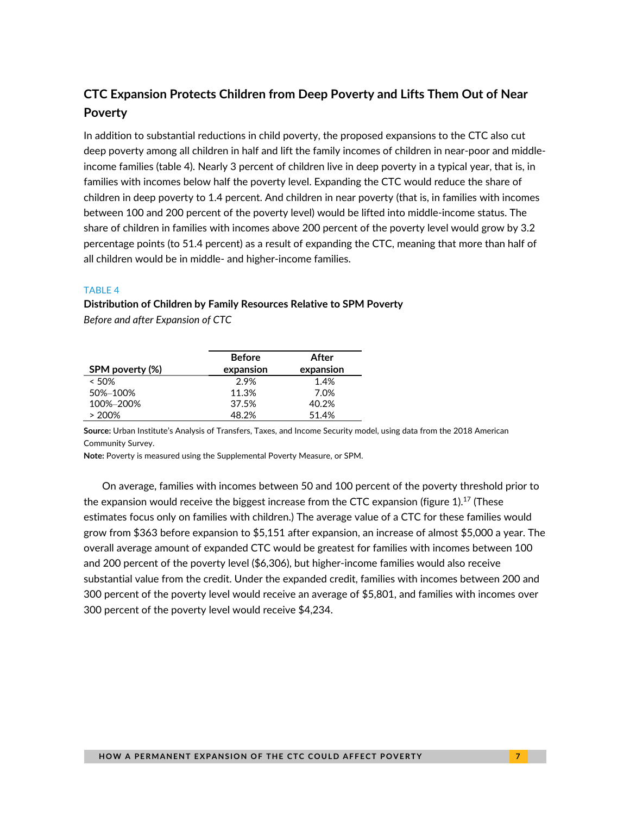# **CTC Expansion Protects Children from Deep Poverty and Lifts Them Out of Near Poverty**

In addition to substantial reductions in child poverty, the proposed expansions to the CTC also cut deep poverty among all children in half and lift the family incomes of children in near-poor and middleincome families (table 4). Nearly 3 percent of children live in deep poverty in a typical year, that is, in families with incomes below half the poverty level. Expanding the CTC would reduce the share of children in deep poverty to 1.4 percent. And children in near poverty (that is, in families with incomes between 100 and 200 percent of the poverty level) would be lifted into middle-income status. The share of children in families with incomes above 200 percent of the poverty level would grow by 3.2 percentage points (to 51.4 percent) as a result of expanding the CTC, meaning that more than half of all children would be in middle- and higher-income families.

### TABLE 4

**Distribution of Children by Family Resources Relative to SPM Poverty**

*Before and after Expansion of CTC*

|                 | <b>Before</b> | After     |
|-----------------|---------------|-----------|
| SPM poverty (%) | expansion     | expansion |
| < 50%           | 2.9%          | 1.4%      |
| 50%-100%        | 11.3%         | 7.0%      |
| 100%-200%       | 37.5%         | 40.2%     |
| > 200%          | 48.2%         | 51.4%     |

**Source:** Urban Institute's Analysis of Transfers, Taxes, and Income Security model, using data from the 2018 American Community Survey.

**Note:** Poverty is measured using the Supplemental Poverty Measure, or SPM.

On average, families with incomes between 50 and 100 percent of the poverty threshold prior to the expansion would receive the biggest increase from the CTC expansion (figure 1). $^{17}$  (These estimates focus only on families with children.) The average value of a CTC for these families would grow from \$363 before expansion to \$5,151 after expansion, an increase of almost \$5,000 a year. The overall average amount of expanded CTC would be greatest for families with incomes between 100 and 200 percent of the poverty level (\$6,306), but higher-income families would also receive substantial value from the credit. Under the expanded credit, families with incomes between 200 and 300 percent of the poverty level would receive an average of \$5,801, and families with incomes over 300 percent of the poverty level would receive \$4,234.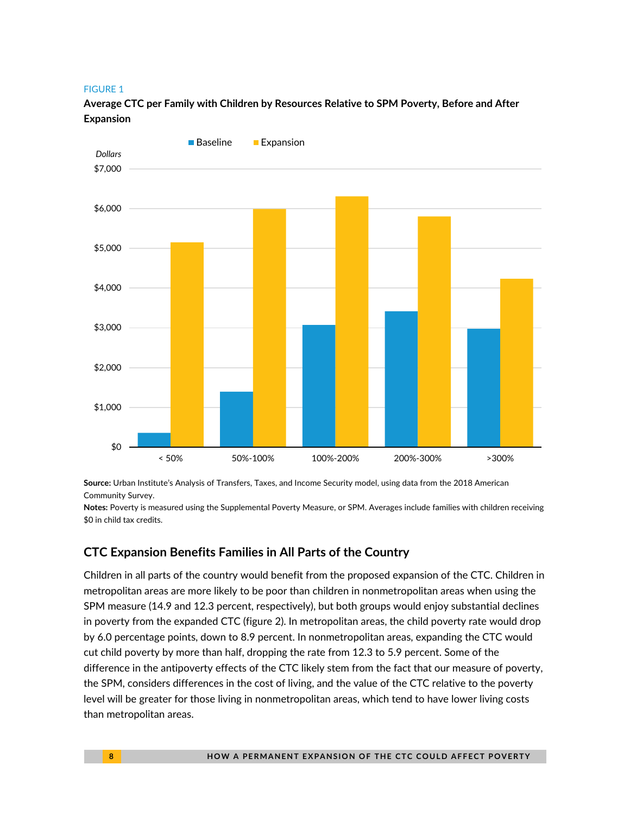#### FIGURE 1





**Source:** Urban Institute's Analysis of Transfers, Taxes, and Income Security model, using data from the 2018 American Community Survey.

**Notes:** Poverty is measured using the Supplemental Poverty Measure, or SPM. Averages include families with children receiving \$0 in child tax credits.

### **CTC Expansion Benefits Families in All Parts of the Country**

Children in all parts of the country would benefit from the proposed expansion of the CTC. Children in metropolitan areas are more likely to be poor than children in nonmetropolitan areas when using the SPM measure (14.9 and 12.3 percent, respectively), but both groups would enjoy substantial declines in poverty from the expanded CTC (figure 2). In metropolitan areas, the child poverty rate would drop by 6.0 percentage points, down to 8.9 percent. In nonmetropolitan areas, expanding the CTC would cut child poverty by more than half, dropping the rate from 12.3 to 5.9 percent. Some of the difference in the antipoverty effects of the CTC likely stem from the fact that our measure of poverty, the SPM, considers differences in the cost of living, and the value of the CTC relative to the poverty level will be greater for those living in nonmetropolitan areas, which tend to have lower living costs than metropolitan areas.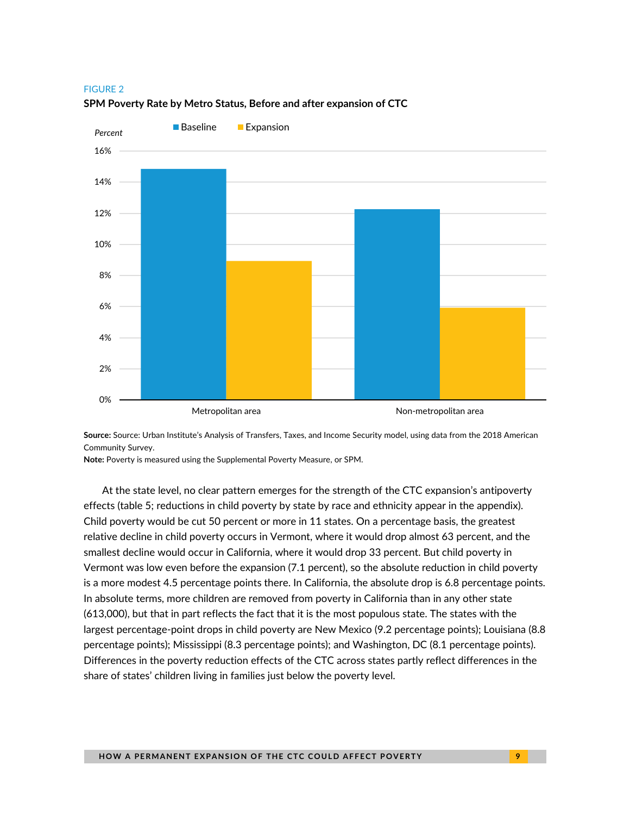#### FIGURE 2



#### **SPM Poverty Rate by Metro Status, Before and after expansion of CTC**

**Source:** Source: Urban Institute's Analysis of Transfers, Taxes, and Income Security model, using data from the 2018 American Community Survey.

**Note:** Poverty is measured using the Supplemental Poverty Measure, or SPM.

At the state level, no clear pattern emerges for the strength of the CTC expansion's antipoverty effects (table 5; reductions in child poverty by state by race and ethnicity appear in the appendix). Child poverty would be cut 50 percent or more in 11 states. On a percentage basis, the greatest relative decline in child poverty occurs in Vermont, where it would drop almost 63 percent, and the smallest decline would occur in California, where it would drop 33 percent. But child poverty in Vermont was low even before the expansion (7.1 percent), so the absolute reduction in child poverty is a more modest 4.5 percentage points there. In California, the absolute drop is 6.8 percentage points. In absolute terms, more children are removed from poverty in California than in any other state (613,000), but that in part reflects the fact that it is the most populous state. The states with the largest percentage-point drops in child poverty are New Mexico (9.2 percentage points); Louisiana (8.8 percentage points); Mississippi (8.3 percentage points); and Washington, DC (8.1 percentage points). Differences in the poverty reduction effects of the CTC across states partly reflect differences in the share of states' children living in families just below the poverty level.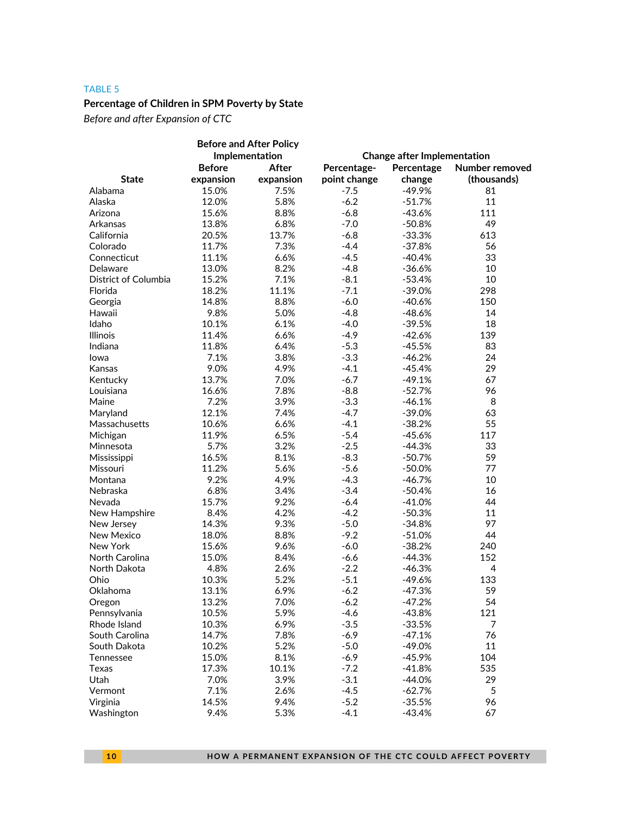### TABLE 5

# **Percentage of Children in SPM Poverty by State**

*Before and after Expansion of CTC*

|                      |                    | <b>Before and After Policy</b><br>Implementation |                        | <b>Change after Implementation</b> |                               |  |  |
|----------------------|--------------------|--------------------------------------------------|------------------------|------------------------------------|-------------------------------|--|--|
|                      |                    |                                                  |                        |                                    |                               |  |  |
| <b>State</b>         | <b>Before</b>      | After                                            | Percentage-            | Percentage                         | Number removed<br>(thousands) |  |  |
| Alabama              | expansion<br>15.0% | expansion<br>7.5%                                | point change<br>$-7.5$ | change<br>$-49.9%$                 | 81                            |  |  |
| Alaska               | 12.0%              | 5.8%                                             | $-6.2$                 | $-51.7%$                           | 11                            |  |  |
| Arizona              | 15.6%              | 8.8%                                             | $-6.8$                 | $-43.6%$                           | 111                           |  |  |
| Arkansas             | 13.8%              | 6.8%                                             | $-7.0$                 | $-50.8%$                           | 49                            |  |  |
| California           |                    |                                                  |                        |                                    |                               |  |  |
|                      | 20.5%              | 13.7%                                            | $-6.8$                 | $-33.3%$                           | 613                           |  |  |
| Colorado             | 11.7%              | 7.3%                                             | $-4.4$                 | $-37.8%$                           | 56                            |  |  |
| Connecticut          | 11.1%              | 6.6%                                             | $-4.5$                 | $-40.4%$                           | 33                            |  |  |
| Delaware             | 13.0%              | 8.2%                                             | $-4.8$                 | $-36.6%$                           | 10                            |  |  |
| District of Columbia | 15.2%              | 7.1%                                             | $-8.1$                 | $-53.4%$                           | 10                            |  |  |
| Florida              | 18.2%              | 11.1%                                            | $-7.1$                 | $-39.0%$                           | 298                           |  |  |
| Georgia              | 14.8%              | 8.8%                                             | $-6.0$                 | $-40.6%$                           | 150                           |  |  |
| Hawaii               | 9.8%               | 5.0%                                             | $-4.8$                 | $-48.6%$                           | 14                            |  |  |
| Idaho                | 10.1%              | 6.1%                                             | $-4.0$                 | $-39.5%$                           | 18                            |  |  |
| <b>Illinois</b>      | 11.4%              | 6.6%                                             | $-4.9$                 | $-42.6%$                           | 139                           |  |  |
| Indiana              | 11.8%              | 6.4%                                             | $-5.3$                 | $-45.5%$                           | 83                            |  |  |
| lowa                 | 7.1%               | 3.8%                                             | $-3.3$                 | $-46.2%$                           | 24                            |  |  |
| Kansas               | 9.0%               | 4.9%                                             | $-4.1$                 | $-45.4%$                           | 29                            |  |  |
| Kentucky             | 13.7%              | 7.0%                                             | $-6.7$                 | $-49.1%$                           | 67                            |  |  |
| Louisiana            | 16.6%              | 7.8%                                             | $-8.8$                 | $-52.7%$                           | 96                            |  |  |
| Maine                | 7.2%               | 3.9%                                             | $-3.3$                 | $-46.1%$                           | 8                             |  |  |
| Maryland             | 12.1%              | 7.4%                                             | $-4.7$                 | $-39.0%$                           | 63                            |  |  |
| Massachusetts        | 10.6%              | 6.6%                                             | $-4.1$                 | $-38.2%$                           | 55                            |  |  |
| Michigan             | 11.9%              | 6.5%                                             | $-5.4$                 | $-45.6%$                           | 117                           |  |  |
| Minnesota            | 5.7%               | 3.2%                                             | $-2.5$                 | $-44.3%$                           | 33                            |  |  |
| Mississippi          | 16.5%              | 8.1%                                             | $-8.3$                 | $-50.7%$                           | 59                            |  |  |
| Missouri             | 11.2%              | 5.6%                                             | $-5.6$                 | $-50.0%$                           | 77                            |  |  |
| Montana              | 9.2%               | 4.9%                                             | $-4.3$                 | $-46.7%$                           | 10                            |  |  |
| Nebraska             | 6.8%               | 3.4%                                             | $-3.4$                 | $-50.4%$                           | 16                            |  |  |
| Nevada               | 15.7%              | 9.2%                                             | $-6.4$                 | $-41.0%$                           | 44                            |  |  |
| New Hampshire        | 8.4%               | 4.2%                                             | $-4.2$                 | $-50.3%$                           | 11                            |  |  |
| New Jersey           | 14.3%              | 9.3%                                             | $-5.0$                 | $-34.8%$                           | 97                            |  |  |
| New Mexico           | 18.0%              | 8.8%                                             | $-9.2$                 | $-51.0%$                           | 44                            |  |  |
| New York             | 15.6%              | 9.6%                                             | $-6.0$                 | $-38.2%$                           | 240                           |  |  |
| North Carolina       | 15.0%              | 8.4%                                             | $-6.6$                 | $-44.3%$                           | 152                           |  |  |
| North Dakota         | 4.8%               | 2.6%                                             | $-2.2$                 | $-46.3%$                           | 4                             |  |  |
| Ohio                 | 10.3%              | 5.2%                                             | $-5.1$                 | $-49.6%$                           | 133                           |  |  |
| Oklahoma             | 13.1%              | 6.9%                                             | $-6.2$                 | $-47.3%$                           | 59                            |  |  |
| Oregon               | 13.2%              | 7.0%                                             | $-6.2$                 | $-47.2%$                           | 54                            |  |  |
| Pennsylvania         | 10.5%              | 5.9%                                             | $-4.6$                 | $-43.8%$                           | 121                           |  |  |
| Rhode Island         | 10.3%              | 6.9%                                             | $-3.5$                 | $-33.5%$                           | 7                             |  |  |
| South Carolina       | 14.7%              | 7.8%                                             | $-6.9$                 | $-47.1%$                           | 76                            |  |  |
| South Dakota         | 10.2%              | 5.2%                                             | $-5.0$                 | $-49.0%$                           | 11                            |  |  |
| Tennessee            | 15.0%              | 8.1%                                             | $-6.9$                 | $-45.9%$                           | 104                           |  |  |
| <b>Texas</b>         | 17.3%              | 10.1%                                            | $-7.2$                 | $-41.8%$                           | 535                           |  |  |
| Utah                 | 7.0%               | 3.9%                                             |                        |                                    | 29                            |  |  |
| Vermont              | 7.1%               |                                                  | $-3.1$<br>$-4.5$       | -44.0%                             | 5                             |  |  |
|                      |                    | 2.6%                                             |                        | $-62.7%$<br>$-35.5%$               |                               |  |  |
| Virginia             | 14.5%              | 9.4%                                             | $-5.2$                 |                                    | 96                            |  |  |
| Washington           | 9.4%               | 5.3%                                             | $-4.1$                 | $-43.4%$                           | 67                            |  |  |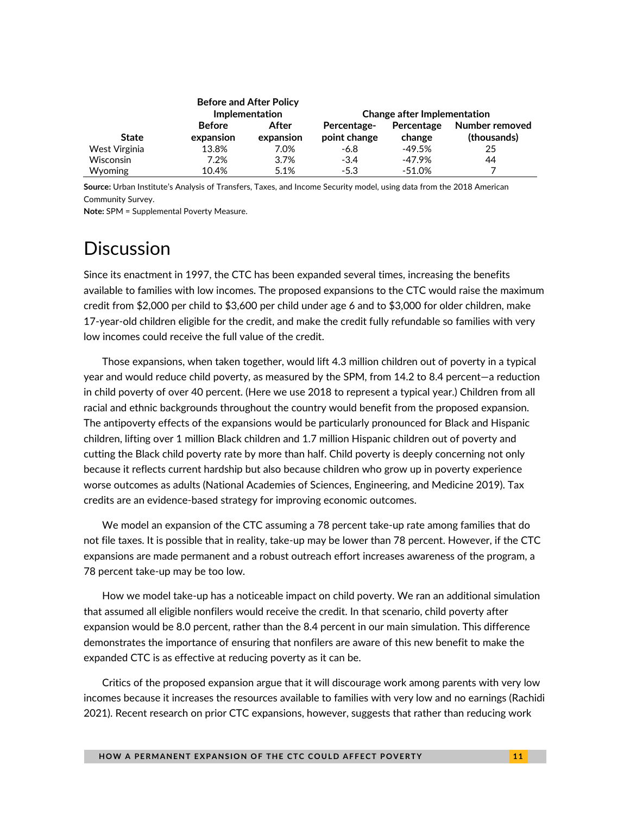|                  |                            | <b>Before and After Policy</b><br>Implementation |                             | <b>Change after Implementation</b> |                               |
|------------------|----------------------------|--------------------------------------------------|-----------------------------|------------------------------------|-------------------------------|
| <b>State</b>     | <b>Before</b><br>expansion | After<br>expansion                               | Percentage-<br>point change | Percentage<br>change               | Number removed<br>(thousands) |
| West Virginia    | 13.8%                      | 7.0%                                             | $-6.8$                      | $-49.5%$                           | 25                            |
| <b>Wisconsin</b> | 7.2%                       | 3.7%                                             | $-3.4$                      | $-47.9%$                           | 44                            |
| <b>Wyoming</b>   | 10.4%                      | 5.1%                                             | $-5.3$                      | $-51.0%$                           |                               |

**Source:** Urban Institute's Analysis of Transfers, Taxes, and Income Security model, using data from the 2018 American Community Survey.

**Note:** SPM = Supplemental Poverty Measure.

# **Discussion**

Since its enactment in 1997, the CTC has been expanded several times, increasing the benefits available to families with low incomes. The proposed expansions to the CTC would raise the maximum credit from \$2,000 per child to \$3,600 per child under age 6 and to \$3,000 for older children, make 17-year-old children eligible for the credit, and make the credit fully refundable so families with very low incomes could receive the full value of the credit.

Those expansions, when taken together, would lift 4.3 million children out of poverty in a typical year and would reduce child poverty, as measured by the SPM, from 14.2 to 8.4 percent—a reduction in child poverty of over 40 percent. (Here we use 2018 to represent a typical year.) Children from all racial and ethnic backgrounds throughout the country would benefit from the proposed expansion. The antipoverty effects of the expansions would be particularly pronounced for Black and Hispanic children, lifting over 1 million Black children and 1.7 million Hispanic children out of poverty and cutting the Black child poverty rate by more than half. Child poverty is deeply concerning not only because it reflects current hardship but also because children who grow up in poverty experience worse outcomes as adults (National Academies of Sciences, Engineering, and Medicine 2019). Tax credits are an evidence-based strategy for improving economic outcomes.

We model an expansion of the CTC assuming a 78 percent take-up rate among families that do not file taxes. It is possible that in reality, take-up may be lower than 78 percent. However, if the CTC expansions are made permanent and a robust outreach effort increases awareness of the program, a 78 percent take-up may be too low.

How we model take-up has a noticeable impact on child poverty. We ran an additional simulation that assumed all eligible nonfilers would receive the credit. In that scenario, child poverty after expansion would be 8.0 percent, rather than the 8.4 percent in our main simulation. This difference demonstrates the importance of ensuring that nonfilers are aware of this new benefit to make the expanded CTC is as effective at reducing poverty as it can be.

Critics of the proposed expansion argue that it will discourage work among parents with very low incomes because it increases the resources available to families with very low and no earnings (Rachidi 2021). Recent research on prior CTC expansions, however, suggests that rather than reducing work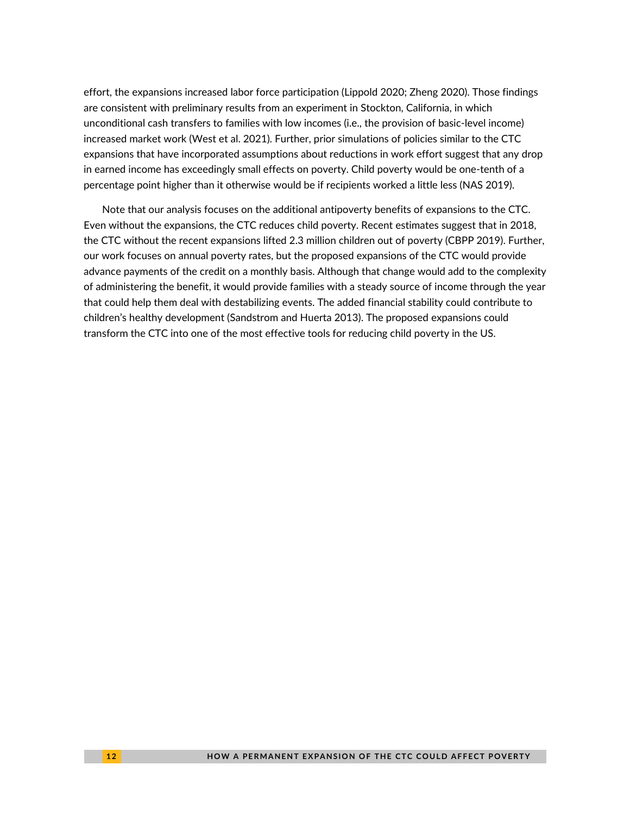effort, the expansions increased labor force participation (Lippold 2020; Zheng 2020). Those findings are consistent with preliminary results from an experiment in Stockton, California, in which unconditional cash transfers to families with low incomes (i.e., the provision of basic-level income) increased market work (West et al. 2021). Further, prior simulations of policies similar to the CTC expansions that have incorporated assumptions about reductions in work effort suggest that any drop in earned income has exceedingly small effects on poverty. Child poverty would be one-tenth of a percentage point higher than it otherwise would be if recipients worked a little less (NAS 2019).

Note that our analysis focuses on the additional antipoverty benefits of expansions to the CTC. Even without the expansions, the CTC reduces child poverty. Recent estimates suggest that in 2018, the CTC without the recent expansions lifted 2.3 million children out of poverty (CBPP 2019). Further, our work focuses on annual poverty rates, but the proposed expansions of the CTC would provide advance payments of the credit on a monthly basis. Although that change would add to the complexity of administering the benefit, it would provide families with a steady source of income through the year that could help them deal with destabilizing events. The added financial stability could contribute to children's healthy development (Sandstrom and Huerta 2013). The proposed expansions could transform the CTC into one of the most effective tools for reducing child poverty in the US.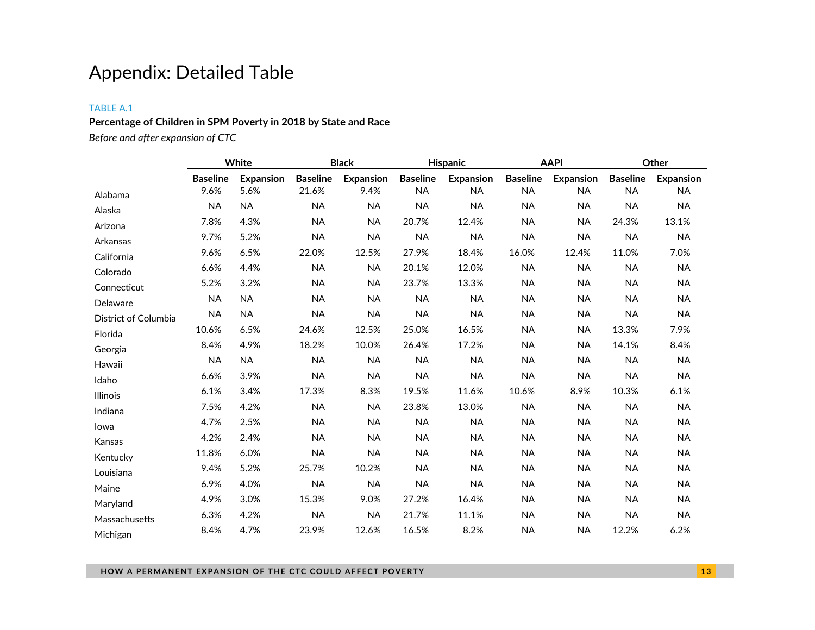# Appendix: Detailed Table

### TABLE A.1

### **Percentage of Children in SPM Poverty in 2018 by State and Race**

*Before and after expansion of CTC*

|                      |                 | White            |                 | <b>Black</b>     |                 | <b>Hispanic</b>  | <b>AAPI</b>     |                  |                 | Other            |
|----------------------|-----------------|------------------|-----------------|------------------|-----------------|------------------|-----------------|------------------|-----------------|------------------|
|                      | <b>Baseline</b> | <b>Expansion</b> | <b>Baseline</b> | <b>Expansion</b> | <b>Baseline</b> | <b>Expansion</b> | <b>Baseline</b> | <b>Expansion</b> | <b>Baseline</b> | <b>Expansion</b> |
| Alabama              | 9.6%            | 5.6%             | 21.6%           | 9.4%             | <b>NA</b>       | <b>NA</b>        | <b>NA</b>       | <b>NA</b>        | <b>NA</b>       | <b>NA</b>        |
| Alaska               | <b>NA</b>       | <b>NA</b>        | <b>NA</b>       | <b>NA</b>        | <b>NA</b>       | <b>NA</b>        | <b>NA</b>       | <b>NA</b>        | <b>NA</b>       | <b>NA</b>        |
| Arizona              | 7.8%            | 4.3%             | <b>NA</b>       | <b>NA</b>        | 20.7%           | 12.4%            | <b>NA</b>       | <b>NA</b>        | 24.3%           | 13.1%            |
| Arkansas             | 9.7%            | 5.2%             | <b>NA</b>       | NA               | <b>NA</b>       | <b>NA</b>        | <b>NA</b>       | <b>NA</b>        | <b>NA</b>       | <b>NA</b>        |
| California           | 9.6%            | 6.5%             | 22.0%           | 12.5%            | 27.9%           | 18.4%            | 16.0%           | 12.4%            | 11.0%           | 7.0%             |
| Colorado             | 6.6%            | 4.4%             | <b>NA</b>       | <b>NA</b>        | 20.1%           | 12.0%            | <b>NA</b>       | <b>NA</b>        | <b>NA</b>       | <b>NA</b>        |
| Connecticut          | 5.2%            | 3.2%             | <b>NA</b>       | NA               | 23.7%           | 13.3%            | <b>NA</b>       | <b>NA</b>        | <b>NA</b>       | <b>NA</b>        |
| <b>Delaware</b>      | <b>NA</b>       | <b>NA</b>        | <b>NA</b>       | <b>NA</b>        | <b>NA</b>       | <b>NA</b>        | <b>NA</b>       | <b>NA</b>        | <b>NA</b>       | <b>NA</b>        |
| District of Columbia | <b>NA</b>       | <b>NA</b>        | <b>NA</b>       | <b>NA</b>        | <b>NA</b>       | <b>NA</b>        | <b>NA</b>       | <b>NA</b>        | <b>NA</b>       | <b>NA</b>        |
| Florida              | 10.6%           | 6.5%             | 24.6%           | 12.5%            | 25.0%           | 16.5%            | <b>NA</b>       | <b>NA</b>        | 13.3%           | 7.9%             |
| Georgia              | 8.4%            | 4.9%             | 18.2%           | 10.0%            | 26.4%           | 17.2%            | <b>NA</b>       | <b>NA</b>        | 14.1%           | 8.4%             |
| Hawaii               | <b>NA</b>       | <b>NA</b>        | <b>NA</b>       | <b>NA</b>        | <b>NA</b>       | <b>NA</b>        | <b>NA</b>       | <b>NA</b>        | <b>NA</b>       | <b>NA</b>        |
| Idaho                | 6.6%            | 3.9%             | <b>NA</b>       | <b>NA</b>        | <b>NA</b>       | <b>NA</b>        | <b>NA</b>       | <b>NA</b>        | <b>NA</b>       | <b>NA</b>        |
| <b>Illinois</b>      | 6.1%            | 3.4%             | 17.3%           | 8.3%             | 19.5%           | 11.6%            | 10.6%           | 8.9%             | 10.3%           | 6.1%             |
| Indiana              | 7.5%            | 4.2%             | <b>NA</b>       | NA               | 23.8%           | 13.0%            | <b>NA</b>       | <b>NA</b>        | <b>NA</b>       | <b>NA</b>        |
| lowa                 | 4.7%            | 2.5%             | <b>NA</b>       | <b>NA</b>        | <b>NA</b>       | <b>NA</b>        | <b>NA</b>       | <b>NA</b>        | <b>NA</b>       | <b>NA</b>        |
| Kansas               | 4.2%            | 2.4%             | <b>NA</b>       | NA               | <b>NA</b>       | <b>NA</b>        | <b>NA</b>       | <b>NA</b>        | <b>NA</b>       | <b>NA</b>        |
| Kentucky             | 11.8%           | 6.0%             | <b>NA</b>       | <b>NA</b>        | <b>NA</b>       | <b>NA</b>        | <b>NA</b>       | <b>NA</b>        | <b>NA</b>       | <b>NA</b>        |
| Louisiana            | 9.4%            | 5.2%             | 25.7%           | 10.2%            | <b>NA</b>       | <b>NA</b>        | <b>NA</b>       | <b>NA</b>        | <b>NA</b>       | <b>NA</b>        |
| Maine                | 6.9%            | 4.0%             | <b>NA</b>       | <b>NA</b>        | <b>NA</b>       | <b>NA</b>        | <b>NA</b>       | <b>NA</b>        | <b>NA</b>       | <b>NA</b>        |
| Maryland             | 4.9%            | 3.0%             | 15.3%           | 9.0%             | 27.2%           | 16.4%            | <b>NA</b>       | <b>NA</b>        | <b>NA</b>       | <b>NA</b>        |
| Massachusetts        | 6.3%            | 4.2%             | <b>NA</b>       | <b>NA</b>        | 21.7%           | 11.1%            | <b>NA</b>       | <b>NA</b>        | <b>NA</b>       | <b>NA</b>        |
| Michigan             | 8.4%            | 4.7%             | 23.9%           | 12.6%            | 16.5%           | 8.2%             | <b>NA</b>       | <b>NA</b>        | 12.2%           | 6.2%             |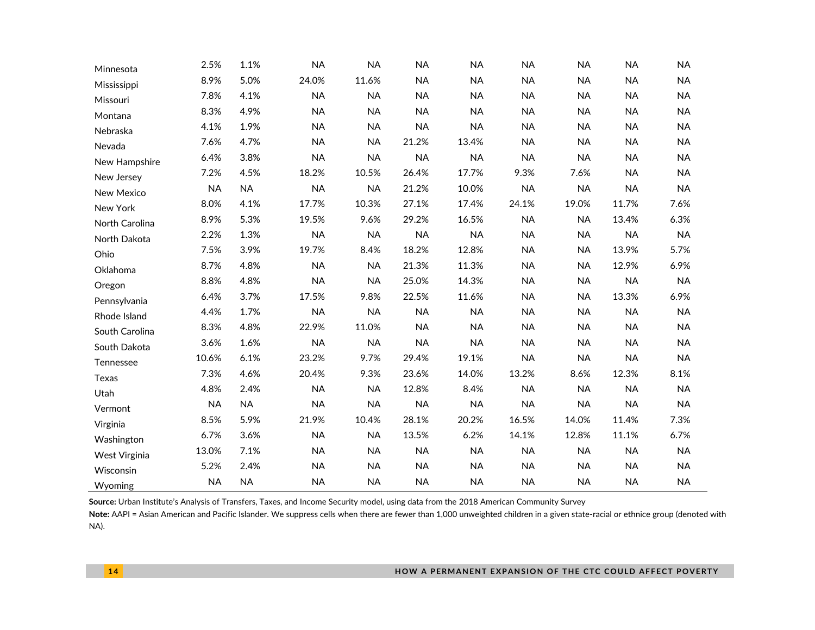| Minnesota      | 2.5%      | 1.1%      | <b>NA</b> | <b>NA</b> | <b>NA</b> | <b>NA</b> | <b>NA</b> | <b>NA</b> | <b>NA</b> | <b>NA</b> |
|----------------|-----------|-----------|-----------|-----------|-----------|-----------|-----------|-----------|-----------|-----------|
| Mississippi    | 8.9%      | 5.0%      | 24.0%     | 11.6%     | <b>NA</b> | <b>NA</b> | <b>NA</b> | <b>NA</b> | <b>NA</b> | <b>NA</b> |
| Missouri       | 7.8%      | 4.1%      | <b>NA</b> | <b>NA</b> | <b>NA</b> | <b>NA</b> | <b>NA</b> | <b>NA</b> | <b>NA</b> | <b>NA</b> |
| Montana        | 8.3%      | 4.9%      | <b>NA</b> | <b>NA</b> | <b>NA</b> | <b>NA</b> | <b>NA</b> | <b>NA</b> | <b>NA</b> | <b>NA</b> |
| Nebraska       | 4.1%      | 1.9%      | <b>NA</b> | <b>NA</b> | <b>NA</b> | <b>NA</b> | <b>NA</b> | <b>NA</b> | <b>NA</b> | <b>NA</b> |
| Nevada         | 7.6%      | 4.7%      | <b>NA</b> | <b>NA</b> | 21.2%     | 13.4%     | <b>NA</b> | <b>NA</b> | <b>NA</b> | <b>NA</b> |
| New Hampshire  | 6.4%      | 3.8%      | <b>NA</b> | <b>NA</b> | <b>NA</b> | <b>NA</b> | <b>NA</b> | <b>NA</b> | <b>NA</b> | <b>NA</b> |
| New Jersey     | 7.2%      | 4.5%      | 18.2%     | 10.5%     | 26.4%     | 17.7%     | 9.3%      | 7.6%      | <b>NA</b> | <b>NA</b> |
| New Mexico     | <b>NA</b> | <b>NA</b> | <b>NA</b> | <b>NA</b> | 21.2%     | 10.0%     | <b>NA</b> | <b>NA</b> | <b>NA</b> | <b>NA</b> |
| New York       | 8.0%      | 4.1%      | 17.7%     | 10.3%     | 27.1%     | 17.4%     | 24.1%     | 19.0%     | 11.7%     | 7.6%      |
| North Carolina | 8.9%      | 5.3%      | 19.5%     | 9.6%      | 29.2%     | 16.5%     | <b>NA</b> | <b>NA</b> | 13.4%     | 6.3%      |
| North Dakota   | 2.2%      | 1.3%      | <b>NA</b> | <b>NA</b> | <b>NA</b> | <b>NA</b> | <b>NA</b> | <b>NA</b> | <b>NA</b> | <b>NA</b> |
| Ohio           | 7.5%      | 3.9%      | 19.7%     | 8.4%      | 18.2%     | 12.8%     | <b>NA</b> | <b>NA</b> | 13.9%     | 5.7%      |
| Oklahoma       | 8.7%      | 4.8%      | <b>NA</b> | <b>NA</b> | 21.3%     | 11.3%     | <b>NA</b> | <b>NA</b> | 12.9%     | 6.9%      |
| Oregon         | 8.8%      | 4.8%      | <b>NA</b> | <b>NA</b> | 25.0%     | 14.3%     | <b>NA</b> | <b>NA</b> | <b>NA</b> | <b>NA</b> |
| Pennsylvania   | 6.4%      | 3.7%      | 17.5%     | 9.8%      | 22.5%     | 11.6%     | <b>NA</b> | <b>NA</b> | 13.3%     | 6.9%      |
| Rhode Island   | 4.4%      | 1.7%      | <b>NA</b> | <b>NA</b> | <b>NA</b> | <b>NA</b> | <b>NA</b> | <b>NA</b> | <b>NA</b> | <b>NA</b> |
| South Carolina | 8.3%      | 4.8%      | 22.9%     | 11.0%     | <b>NA</b> | <b>NA</b> | <b>NA</b> | <b>NA</b> | <b>NA</b> | <b>NA</b> |
| South Dakota   | 3.6%      | 1.6%      | <b>NA</b> | <b>NA</b> | <b>NA</b> | <b>NA</b> | <b>NA</b> | <b>NA</b> | <b>NA</b> | <b>NA</b> |
| Tennessee      | 10.6%     | 6.1%      | 23.2%     | 9.7%      | 29.4%     | 19.1%     | <b>NA</b> | <b>NA</b> | <b>NA</b> | <b>NA</b> |
| Texas          | 7.3%      | 4.6%      | 20.4%     | 9.3%      | 23.6%     | 14.0%     | 13.2%     | 8.6%      | 12.3%     | 8.1%      |
| Utah           | 4.8%      | 2.4%      | <b>NA</b> | <b>NA</b> | 12.8%     | 8.4%      | <b>NA</b> | <b>NA</b> | <b>NA</b> | <b>NA</b> |
| Vermont        | <b>NA</b> | <b>NA</b> | <b>NA</b> | <b>NA</b> | <b>NA</b> | <b>NA</b> | <b>NA</b> | <b>NA</b> | <b>NA</b> | <b>NA</b> |
| Virginia       | 8.5%      | 5.9%      | 21.9%     | 10.4%     | 28.1%     | 20.2%     | 16.5%     | 14.0%     | 11.4%     | 7.3%      |
| Washington     | 6.7%      | 3.6%      | <b>NA</b> | <b>NA</b> | 13.5%     | 6.2%      | 14.1%     | 12.8%     | 11.1%     | 6.7%      |
| West Virginia  | 13.0%     | 7.1%      | <b>NA</b> | <b>NA</b> | <b>NA</b> | <b>NA</b> | <b>NA</b> | <b>NA</b> | <b>NA</b> | <b>NA</b> |
| Wisconsin      | 5.2%      | 2.4%      | <b>NA</b> | <b>NA</b> | <b>NA</b> | <b>NA</b> | <b>NA</b> | <b>NA</b> | <b>NA</b> | <b>NA</b> |
| Wyoming        | <b>NA</b> | <b>NA</b> | <b>NA</b> | <b>NA</b> | <b>NA</b> | <b>NA</b> | <b>NA</b> | <b>NA</b> | <b>NA</b> | <b>NA</b> |

**Source:** Urban Institute's Analysis of Transfers, Taxes, and Income Security model, using data from the 2018 American Community Survey

Note: AAPI = Asian American and Pacific Islander. We suppress cells when there are fewer than 1,000 unweighted children in a given state-racial or ethnice group (denoted with NA).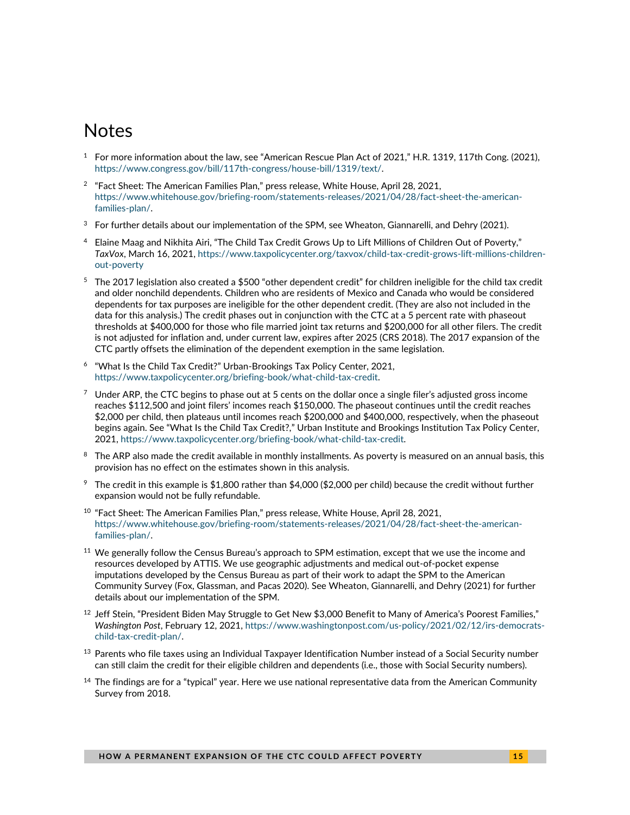# **Notes**

- $1$  For more information about the law, see "American Rescue Plan Act of 2021," H.R. 1319, 117th Cong. (2021), [https://www.congress.gov/bill/117th-congress/house-bill/1319/text/.](https://www.congress.gov/bill/117th-congress/house-bill/1319/text/)
- $2$  "Fact Sheet: The American Families Plan," press release, White House, April 28, 2021, [https://www.whitehouse.gov/briefing-room/statements-releases/2021/04/28/fact-sheet-the-american](https://www.whitehouse.gov/briefing-room/statements-releases/2021/04/28/fact-sheet-the-american-families-plan/)[families-plan/.](https://www.whitehouse.gov/briefing-room/statements-releases/2021/04/28/fact-sheet-the-american-families-plan/)
- <sup>3</sup> For further details about our implementation of the SPM, see Wheaton, Giannarelli, and Dehry (2021).
- <sup>4</sup> Elaine Maag and Nikhita Airi, "The Child Tax Credit Grows Up to Lift Millions of Children Out of Poverty," *TaxVox*, March 16, 2021[, https://www.taxpolicycenter.org/taxvox/child-tax-credit-grows-lift-millions-children](https://www.taxpolicycenter.org/taxvox/child-tax-credit-grows-lift-millions-children-out-poverty)[out-poverty](https://www.taxpolicycenter.org/taxvox/child-tax-credit-grows-lift-millions-children-out-poverty)
- $5$  The 2017 legislation also created a \$500 "other dependent credit" for children ineligible for the child tax credit and older nonchild dependents. Children who are residents of Mexico and Canada who would be considered dependents for tax purposes are ineligible for the other dependent credit. (They are also not included in the data for this analysis.) The credit phases out in conjunction with the CTC at a 5 percent rate with phaseout thresholds at \$400,000 for those who file married joint tax returns and \$200,000 for all other filers. The credit is not adjusted for inflation and, under current law, expires after 2025 (CRS 2018). The 2017 expansion of the CTC partly offsets the elimination of the dependent exemption in the same legislation.
- <sup>6</sup> "What Is the Child Tax Credit?" Urban-Brookings Tax Policy Center, 2021, [https://www.taxpolicycenter.org/briefing-book/what-child-tax-credit.](https://www.taxpolicycenter.org/briefing-book/what-child-tax-credit)
- $7$  Under ARP, the CTC begins to phase out at 5 cents on the dollar once a single filer's adjusted gross income reaches \$112,500 and joint filers' incomes reach \$150,000. The phaseout continues until the credit reaches \$2,000 per child, then plateaus until incomes reach \$200,000 and \$400,000, respectively, when the phaseout begins again. See "What Is the Child Tax Credit?," Urban Institute and Brookings Institution Tax Policy Center, 2021[, https://www.taxpolicycenter.org/briefing-book/what-child-tax-credit.](https://www.taxpolicycenter.org/briefing-book/what-child-tax-credit)
- <sup>8</sup> The ARP also made the credit available in monthly installments. As poverty is measured on an annual basis, this provision has no effect on the estimates shown in this analysis.
- <sup>9</sup> The credit in this example is \$1,800 rather than \$4,000 (\$2,000 per child) because the credit without further expansion would not be fully refundable.
- <sup>10</sup> "Fact Sheet: The American Families Plan," press release, White House, April 28, 2021, [https://www.whitehouse.gov/briefing-room/statements-releases/2021/04/28/fact-sheet-the-american](https://www.whitehouse.gov/briefing-room/statements-releases/2021/04/28/fact-sheet-the-american-families-plan/)[families-plan/.](https://www.whitehouse.gov/briefing-room/statements-releases/2021/04/28/fact-sheet-the-american-families-plan/)
- $11$  We generally follow the Census Bureau's approach to SPM estimation, except that we use the income and resources developed by ATTIS. We use geographic adjustments and medical out-of-pocket expense imputations developed by the Census Bureau as part of their work to adapt the SPM to the American Community Survey (Fox, Glassman, and Pacas 2020). See Wheaton, Giannarelli, and Dehry (2021) for further details about our implementation of the SPM.
- $12$  Jeff Stein, "President Biden May Struggle to Get New \$3,000 Benefit to Many of America's Poorest Families," *Washington Post*, February 12, 2021[, https://www.washingtonpost.com/us-policy/2021/02/12/irs-democrats](https://www.washingtonpost.com/us-policy/2021/02/12/irs-democrats-child-tax-credit-plan/)[child-tax-credit-plan/.](https://www.washingtonpost.com/us-policy/2021/02/12/irs-democrats-child-tax-credit-plan/)
- $13$  Parents who file taxes using an Individual Taxpayer Identification Number instead of a Social Security number can still claim the credit for their eligible children and dependents (i.e., those with Social Security numbers).
- $14$  The findings are for a "typical" year. Here we use national representative data from the American Community Survey from 2018.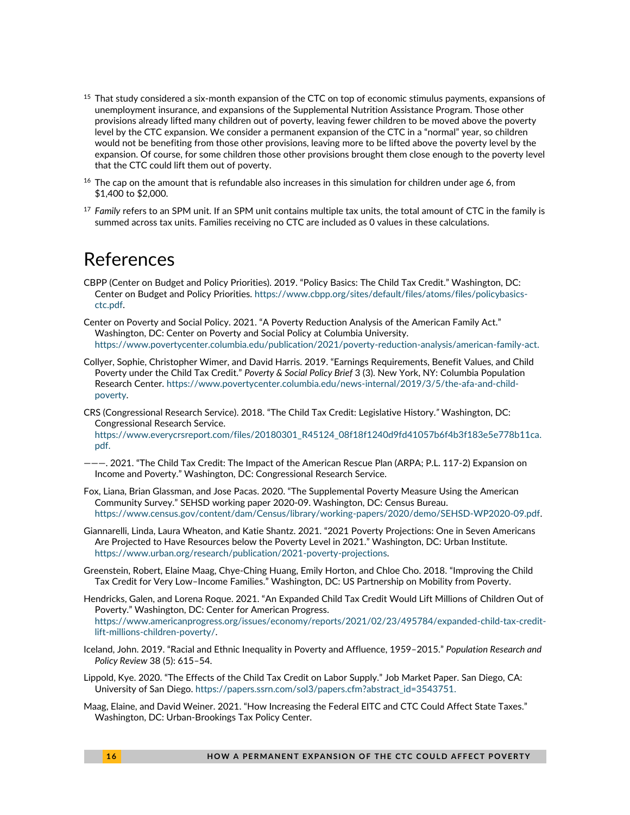- $<sup>15</sup>$  That study considered a six-month expansion of the CTC on top of economic stimulus payments, expansions of</sup> unemployment insurance, and expansions of the Supplemental Nutrition Assistance Program. Those other provisions already lifted many children out of poverty, leaving fewer children to be moved above the poverty level by the CTC expansion. We consider a permanent expansion of the CTC in a "normal" year, so children would not be benefiting from those other provisions, leaving more to be lifted above the poverty level by the expansion. Of course, for some children those other provisions brought them close enough to the poverty level that the CTC could lift them out of poverty.
- $16$  The cap on the amount that is refundable also increases in this simulation for children under age 6, from \$1,400 to \$2,000.
- <sup>17</sup> *Family* refers to an SPM unit. If an SPM unit contains multiple tax units, the total amount of CTC in the family is summed across tax units. Families receiving no CTC are included as 0 values in these calculations.

# References

- CBPP (Center on Budget and Policy Priorities). 2019. "Policy Basics: The Child Tax Credit." Washington, DC: Center on Budget and Policy Priorities. [https://www.cbpp.org/sites/default/files/atoms/files/policybasics](https://www.cbpp.org/sites/default/files/atoms/files/policybasics-ctc.pdf)[ctc.pdf.](https://www.cbpp.org/sites/default/files/atoms/files/policybasics-ctc.pdf)
- Center on Poverty and Social Policy. 2021. "A Poverty Reduction Analysis of the American Family Act." Washington, DC: Center on Poverty and Social Policy at Columbia University. [https://www.povertycenter.columbia.edu/publication/2021/poverty-reduction-analysis/american-family-act.](https://www.povertycenter.columbia.edu/publication/2021/poverty-reduction-analysis/american-family-act)
- Collyer, Sophie, Christopher Wimer, and David Harris. 2019. "Earnings Requirements, Benefit Values, and Child Poverty under the Child Tax Credit." *Poverty & Social Policy Brief* 3 (3). New York, NY: Columbia Population Research Center. [https://www.povertycenter.columbia.edu/news-internal/2019/3/5/the-afa-and-child](https://www.povertycenter.columbia.edu/news-internal/2019/3/5/the-afa-and-child-poverty)[poverty.](https://www.povertycenter.columbia.edu/news-internal/2019/3/5/the-afa-and-child-poverty)
- CRS (Congressional Research Service). 2018. "The Child Tax Credit: Legislative History.*"* Washington, DC: Congressional Research Service.

[https://www.everycrsreport.com/files/20180301\\_R45124\\_08f18f1240d9fd41057b6f4b3f183e5e778b11ca.](https://www.everycrsreport.com/files/20180301_R45124_08f18f1240d9fd41057b6f4b3f183e5e778b11ca.pdf) [pdf.](https://www.everycrsreport.com/files/20180301_R45124_08f18f1240d9fd41057b6f4b3f183e5e778b11ca.pdf)

- ———. 2021. "The Child Tax Credit: The Impact of the American Rescue Plan (ARPA; P.L. 117-2) Expansion on Income and Poverty." Washington, DC: Congressional Research Service.
- Fox, Liana, Brian Glassman, and Jose Pacas. 2020. "The Supplemental Poverty Measure Using the American Community Survey." SEHSD working paper 2020-09. Washington, DC: Census Bureau. [https://www.census.gov/content/dam/Census/library/working-papers/2020/demo/SEHSD-WP2020-09.pdf.](https://www.census.gov/content/dam/Census/library/working-papers/2020/demo/SEHSD-WP2020-09.pdf)
- Giannarelli, Linda, Laura Wheaton, and Katie Shantz. 2021. "2021 Poverty Projections: One in Seven Americans Are Projected to Have Resources below the Poverty Level in 2021." Washington, DC: Urban Institute. [https://www.urban.org/research/publication/2021-poverty-projections.](https://www.urban.org/research/publication/2021-poverty-projections)
- Greenstein, Robert, Elaine Maag, Chye-Ching Huang, Emily Horton, and Chloe Cho. 2018. "Improving the Child Tax Credit for Very Low–Income Families." Washington, DC: US Partnership on Mobility from Poverty.
- Hendricks, Galen, and Lorena Roque. 2021. "An Expanded Child Tax Credit Would Lift Millions of Children Out of Poverty." Washington, DC: Center for American Progress. [https://www.americanprogress.org/issues/economy/reports/2021/02/23/495784/expanded-child-tax-credit](https://www.americanprogress.org/issues/economy/reports/2021/02/23/495784/expanded-child-tax-credit-lift-millions-children-poverty/)[lift-millions-children-poverty/.](https://www.americanprogress.org/issues/economy/reports/2021/02/23/495784/expanded-child-tax-credit-lift-millions-children-poverty/)
- Iceland, John. 2019. "Racial and Ethnic Inequality in Poverty and Affluence, 1959–2015." *Population Research and Policy Review* 38 (5): 615–54.
- Lippold, Kye. 2020. "The Effects of the Child Tax Credit on Labor Supply." Job Market Paper. San Diego, CA: University of San Diego. [https://papers.ssrn.com/sol3/papers.cfm?abstract\\_id=3543751.](https://papers.ssrn.com/sol3/papers.cfm?abstract_id=3543751)
- Maag, Elaine, and David Weiner. 2021. "How Increasing the Federal EITC and CTC Could Affect State Taxes." Washington, DC: Urban-Brookings Tax Policy Center.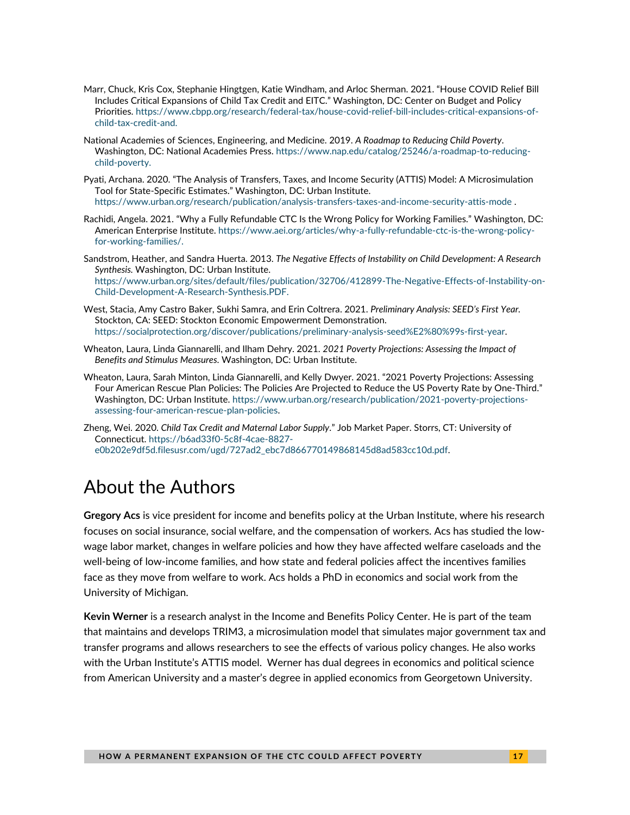- Marr, Chuck, Kris Cox, Stephanie Hingtgen, Katie Windham, and Arloc Sherman. 2021. "House COVID Relief Bill Includes Critical Expansions of Child Tax Credit and EITC." Washington, DC: Center on Budget and Policy Priorities. [https://www.cbpp.org/research/federal-tax/house-covid-relief-bill-includes-critical-expansions-of](https://www.cbpp.org/research/federal-tax/house-covid-relief-bill-includes-critical-expansions-of-child-tax-credit-and)[child-tax-credit-and.](https://www.cbpp.org/research/federal-tax/house-covid-relief-bill-includes-critical-expansions-of-child-tax-credit-and)
- National Academies of Sciences, Engineering, and Medicine. 2019. *A Roadmap to Reducing Child Poverty*. Washington, DC: National Academies Press. [https://www.nap.edu/catalog/25246/a-roadmap-to-reducing](https://www.nap.edu/catalog/25246/a-roadmap-to-reducing-child-poverty)[child-poverty.](https://www.nap.edu/catalog/25246/a-roadmap-to-reducing-child-poverty)
- Pyati, Archana. 2020. "The Analysis of Transfers, Taxes, and Income Security (ATTIS) Model: A Microsimulation Tool for State-Specific Estimates." Washington, DC: Urban Institute. [https://www.urban.org/research/publication/analysis-transfers-taxes-and-income-security-attis-mode](https://www.urban.org/research/publication/analysis-transfers-taxes-and-income-security-attis-model) .
- Rachidi, Angela. 2021. "Why a Fully Refundable CTC Is the Wrong Policy for Working Families." Washington, DC: American Enterprise Institute. [https://www.aei.org/articles/why-a-fully-refundable-ctc-is-the-wrong-policy](https://www.aei.org/articles/why-a-fully-refundable-ctc-is-the-wrong-policy-for-working-families/)[for-working-families/.](https://www.aei.org/articles/why-a-fully-refundable-ctc-is-the-wrong-policy-for-working-families/)
- Sandstrom, Heather, and Sandra Huerta. 2013. *The Negative Effects of Instability on Child Development: A Research Synthesis.* Washington, DC: Urban Institute. [https://www.urban.org/sites/default/files/publication/32706/412899-The-Negative-Effects-of-Instability-on-](https://www.urban.org/sites/default/files/publication/32706/412899-The-Negative-Effects-of-Instability-on-Child-Development-A-Research-Synthesis.PDF)[Child-Development-A-Research-Synthesis.PDF.](https://www.urban.org/sites/default/files/publication/32706/412899-The-Negative-Effects-of-Instability-on-Child-Development-A-Research-Synthesis.PDF)
- West, Stacia, Amy Castro Baker, Sukhi Samra, and Erin Coltrera. 2021. *Preliminary Analysis: SEED's First Year.*  Stockton, CA: SEED: Stockton Economic Empowerment Demonstration. [https://socialprotection.org/discover/publications/preliminary-analysis-seed%E2%80%99s-first-year.](https://socialprotection.org/discover/publications/preliminary-analysis-seed%E2%80%99s-first-year)
- Wheaton, Laura, Linda Giannarelli, and Ilham Dehry. 2021. *2021 Poverty Projections: Assessing the Impact of Benefits and Stimulus Measures.* Washington, DC: Urban Institute.
- Wheaton, Laura, Sarah Minton, Linda Giannarelli, and Kelly Dwyer. 2021. "2021 Poverty Projections: Assessing Four American Rescue Plan Policies: The Policies Are Projected to Reduce the US Poverty Rate by One-Third." Washington, DC: Urban Institute. [https://www.urban.org/research/publication/2021-poverty-projections](https://www.urban.org/research/publication/2021-poverty-projections-assessing-four-american-rescue-plan-policies)[assessing-four-american-rescue-plan-policies.](https://www.urban.org/research/publication/2021-poverty-projections-assessing-four-american-rescue-plan-policies)
- Zheng, Wei. 2020. *Child Tax Credit and Maternal Labor Supply*." Job Market Paper. Storrs, CT: University of Connecticut. [https://b6ad33f0-5c8f-4cae-8827](https://b6ad33f0-5c8f-4cae-8827-e0b202e9df5d.filesusr.com/ugd/727ad2_ebc7d866770149868145d8ad583cc10d.pdf) [e0b202e9df5d.filesusr.com/ugd/727ad2\\_ebc7d866770149868145d8ad583cc10d.pdf.](https://b6ad33f0-5c8f-4cae-8827-e0b202e9df5d.filesusr.com/ugd/727ad2_ebc7d866770149868145d8ad583cc10d.pdf)

# About the Authors

**Gregory Acs** is vice president for income and benefits policy at the Urban Institute, where his research focuses on social insurance, social welfare, and the compensation of workers. Acs has studied the lowwage labor market, changes in welfare policies and how they have affected welfare caseloads and the well-being of low-income families, and how state and federal policies affect the incentives families face as they move from welfare to work. Acs holds a PhD in economics and social work from the University of Michigan.

**Kevin Werner** is a research analyst in the Income and Benefits Policy Center. He is part of the team that maintains and develops TRIM3, a microsimulation model that simulates major government tax and transfer programs and allows researchers to see the effects of various policy changes. He also works with the Urban Institute's ATTIS model. Werner has dual degrees in economics and political science from American University and a master's degree in applied economics from Georgetown University.